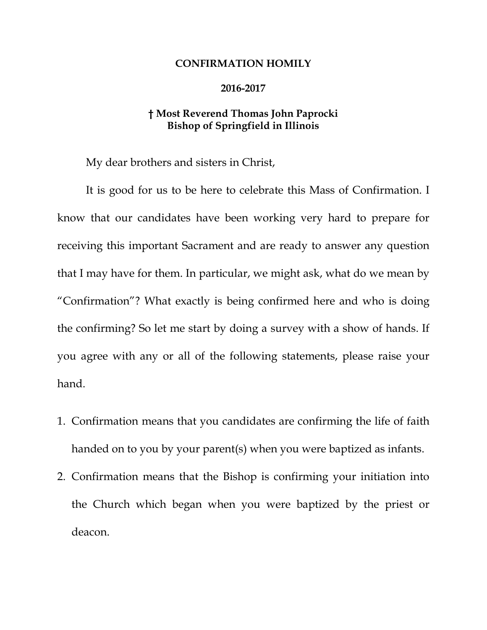## **CONFIRMATION HOMILY**

## **2016-2017**

## **† Most Reverend Thomas John Paprocki Bishop of Springfield in Illinois**

My dear brothers and sisters in Christ,

It is good for us to be here to celebrate this Mass of Confirmation. I know that our candidates have been working very hard to prepare for receiving this important Sacrament and are ready to answer any question that I may have for them. In particular, we might ask, what do we mean by "Confirmation"? What exactly is being confirmed here and who is doing the confirming? So let me start by doing a survey with a show of hands. If you agree with any or all of the following statements, please raise your hand.

- 1. Confirmation means that you candidates are confirming the life of faith handed on to you by your parent(s) when you were baptized as infants.
- 2. Confirmation means that the Bishop is confirming your initiation into the Church which began when you were baptized by the priest or deacon.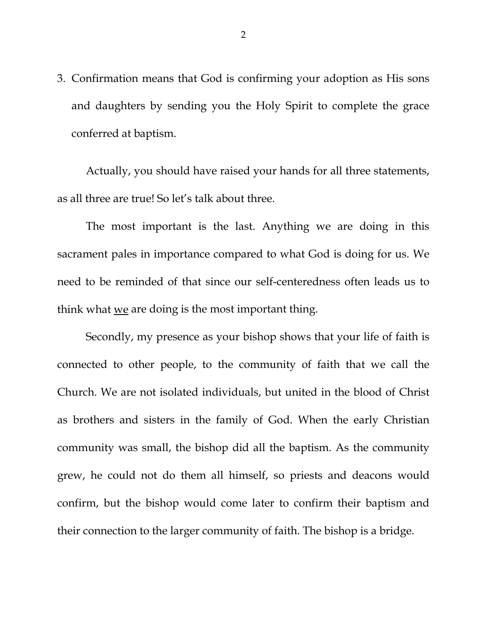3. Confirmation means that God is confirming your adoption as His sons and daughters by sending you the Holy Spirit to complete the grace conferred at baptism.

Actually, you should have raised your hands for all three statements, as all three are true! So let's talk about three.

The most important is the last. Anything we are doing in this sacrament pales in importance compared to what God is doing for us. We need to be reminded of that since our self-centeredness often leads us to think what we are doing is the most important thing.

Secondly, my presence as your bishop shows that your life of faith is connected to other people, to the community of faith that we call the Church. We are not isolated individuals, but united in the blood of Christ as brothers and sisters in the family of God. When the early Christian community was small, the bishop did all the baptism. As the community grew, he could not do them all himself, so priests and deacons would confirm, but the bishop would come later to confirm their baptism and their connection to the larger community of faith. The bishop is a bridge.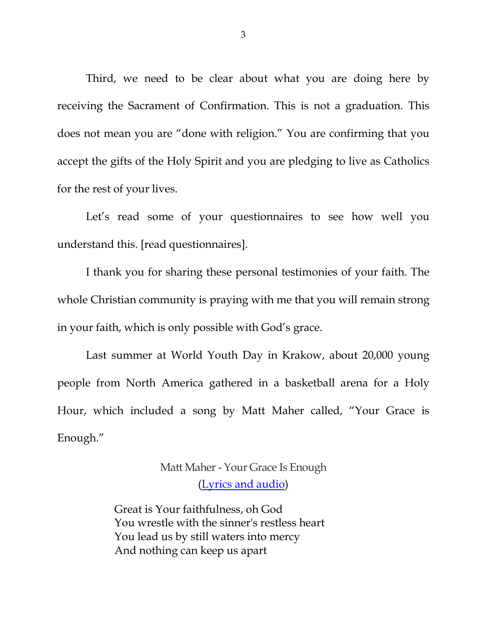Third, we need to be clear about what you are doing here by receiving the Sacrament of Confirmation. This is not a graduation. This does not mean you are "done with religion." You are confirming that you accept the gifts of the Holy Spirit and you are pledging to live as Catholics for the rest of your lives.

Let's read some of your questionnaires to see how well you understand this. [read questionnaires].

I thank you for sharing these personal testimonies of your faith. The whole Christian community is praying with me that you will remain strong in your faith, which is only possible with God's grace.

Last summer at World Youth Day in Krakow, about 20,000 young people from North America gathered in a basketball arena for a Holy Hour, which included a song by Matt Maher called, "Your Grace is Enough."

> Matt Maher - Your Grace Is Enough [\(Lyrics and audio\)](http://www.youtube.com/watch?v=8wN-fspKg1Q)

Great is Your faithfulness, oh God You wrestle with the sinner's restless heart You lead us by still waters into mercy And nothing can keep us apart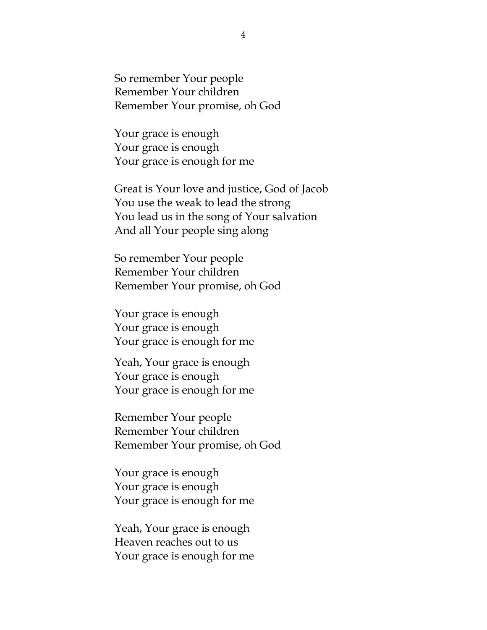So remember Your people Remember Your children Remember Your promise, oh God

Your grace is enough Your grace is enough Your grace is enough for me

Great is Your love and justice, God of Jacob You use the weak to lead the strong You lead us in the song of Your salvation And all Your people sing along

So remember Your people Remember Your children Remember Your promise, oh God

Your grace is enough Your grace is enough Your grace is enough for me

Yeah, Your grace is enough Your grace is enough Your grace is enough for me

Remember Your people Remember Your children Remember Your promise, oh God

Your grace is enough Your grace is enough Your grace is enough for me

Yeah, Your grace is enough Heaven reaches out to us Your grace is enough for me